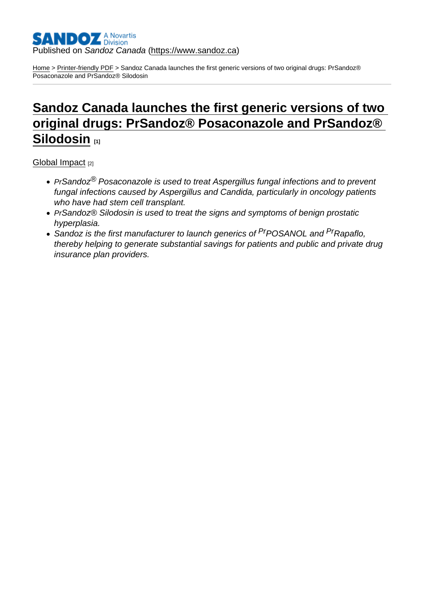### Published on Sandoz Canada [\(https://www.sandoz.ca](https://www.sandoz.ca))

[Home](https://www.sandoz.ca/en) > [Printer-friendly PDF](https://www.sandoz.ca/en/printpdf) > Sandoz Canada launches the first generic versions of two original drugs: PrSandoz® Posaconazole and PrSandoz® Silodosin

# [Sandoz Canada launches the first generic versions of two](https://www.sandoz.ca/en/stories/global-impact/sandoz-canada-launches-first-generic-versions-two-original-drugs-prsandoz-0)  [original drugs: PrSandoz® Posaconazole and PrSandoz®](https://www.sandoz.ca/en/stories/global-impact/sandoz-canada-launches-first-generic-versions-two-original-drugs-prsandoz-0)  [Silodosin](https://www.sandoz.ca/en/stories/global-impact/sandoz-canada-launches-first-generic-versions-two-original-drugs-prsandoz-0) [1]

[Global Impact](https://www.sandoz.ca/en/stories/global-impact) [2]

- PrSandoz<sup>®</sup> Posaconazole is used to treat Aspergillus fungal infections and to prevent fungal infections caused by Aspergillus and Candida, particularly in oncology patients who have had stem cell transplant.
- PrSandoz<sup>®</sup> Silodosin is used to treat the signs and symptoms of benign prostatic hyperplasia.
- Sandoz is the first manufacturer to launch generics of <sup>Pr</sup>POSANOL and <sup>Pr</sup>Rapaflo, thereby helping to generate substantial savings for patients and public and private drug insurance plan providers.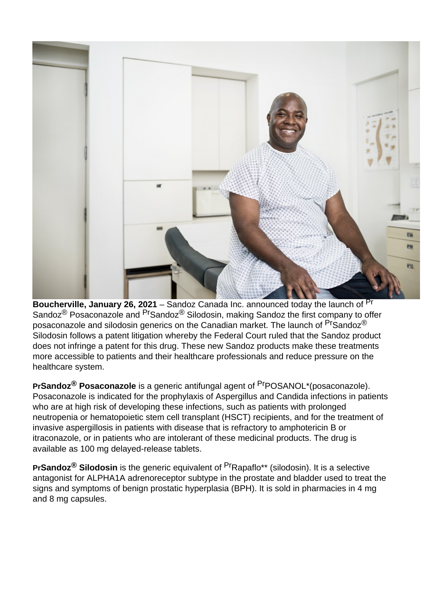

**Boucherville, January 26, 2021** – Sandoz Canada Inc. announced today the launch of <sup>Pr</sup> Sandoz<sup>®</sup> Posaconazole and <sup>Pr</sup>Sandoz<sup>®</sup> Silodosin, making Sandoz the first company to offer posaconazole and silodosin generics on the Canadian market. The launch of  $P^r$ Sandoz $^{\circledR}$ Silodosin follows a patent litigation whereby the Federal Court ruled that the Sandoz product does not infringe a patent for this drug. These new Sandoz products make these treatments more accessible to patients and their healthcare professionals and reduce pressure on the healthcare system.

**PrSandoz® Posaconazole** is a generic antifungal agent of PrPOSANOL\*(posaconazole). Posaconazole is indicated for the prophylaxis of Aspergillus and Candida infections in patients who are at high risk of developing these infections, such as patients with prolonged neutropenia or hematopoietic stem cell transplant (HSCT) recipients, and for the treatment of invasive aspergillosis in patients with disease that is refractory to amphotericin B or itraconazole, or in patients who are intolerant of these medicinal products. The drug is available as 100 mg delayed-release tablets.

**PrSandoz® Silodosin** is the generic equivalent of PrRapaflo\*\* (silodosin). It is a selective antagonist for ALPHA1A adrenoreceptor subtype in the prostate and bladder used to treat the signs and symptoms of benign prostatic hyperplasia (BPH). It is sold in pharmacies in 4 mg and 8 mg capsules.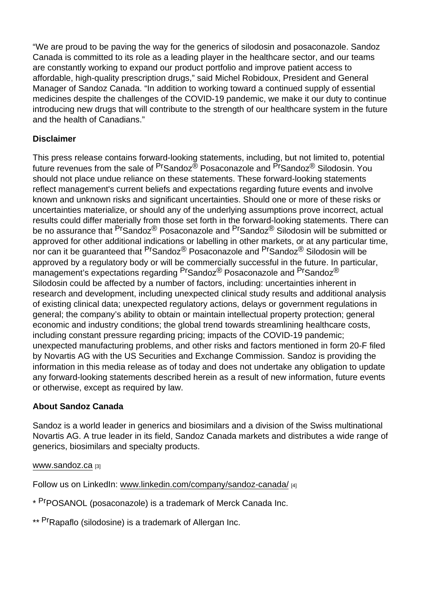"We are proud to be paving the way for the generics of silodosin and posaconazole. Sandoz Canada is committed to its role as a leading player in the healthcare sector, and our teams are constantly working to expand our product portfolio and improve patient access to affordable, high-quality prescription drugs," said Michel Robidoux, President and General Manager of Sandoz Canada. "In addition to working toward a continued supply of essential medicines despite the challenges of the COVID-19 pandemic, we make it our duty to continue introducing new drugs that will contribute to the strength of our healthcare system in the future and the health of Canadians."

## Disclaimer

This press release contains forward-looking statements, including, but not limited to, potential future revenues from the sale of <sup>Pr</sup>Sandoz<sup>®</sup> Posaconazole and PrSandoz<sup>®</sup> Silodosin. You should not place undue reliance on these statements. These forward-looking statements reflect management's current beliefs and expectations regarding future events and involve known and unknown risks and significant uncertainties. Should one or more of these risks or uncertainties materialize, or should any of the underlying assumptions prove incorrect, actual results could differ materially from those set forth in the forward-looking statements. There can be no assurance that <sup>Pr</sup>Sandoz<sup>®</sup> Posaconazole and <sup>Pr</sup>Sandoz<sup>®</sup> Silodosin will be submitted or approved for other additional indications or labelling in other markets, or at any particular time, nor can it be guaranteed that <sup>Pr</sup>Sandoz<sup>®</sup> Posaconazole and <sup>Pr</sup>Sandoz<sup>®</sup> Silodosin will be approved by a regulatory body or will be commercially successful in the future. In particular, management's expectations regarding <sup>Pr</sup>Sandoz<sup>®</sup> Posaconazole and <sup>Pr</sup>Sandoz<sup>®</sup> Silodosin could be affected by a number of factors, including: uncertainties inherent in research and development, including unexpected clinical study results and additional analysis of existing clinical data; unexpected regulatory actions, delays or government regulations in general; the company's ability to obtain or maintain intellectual property protection; general economic and industry conditions; the global trend towards streamlining healthcare costs, including constant pressure regarding pricing; impacts of the COVID-19 pandemic; unexpected manufacturing problems, and other risks and factors mentioned in form 20-F filed by Novartis AG with the US Securities and Exchange Commission. Sandoz is providing the information in this media release as of today and does not undertake any obligation to update any forward-looking statements described herein as a result of new information, future events or otherwise, except as required by law.

## About Sandoz Canada

Sandoz is a world leader in generics and biosimilars and a division of the Swiss multinational Novartis AG. A true leader in its field, Sandoz Canada markets and distributes a wide range of generics, biosimilars and specialty products.

## [www.sandoz.ca](https://www.sandoz.ca/en/www.sandoz.ca) [3]

Follow us on LinkedIn: [www.linkedin.com/company/sandoz-canada/](https://www.sandoz.ca/en/www.linkedin.com/company/sandoz-canada/) [4]

- \* PrpOSANOL (posaconazole) is a trademark of Merck Canada Inc.
- \*\* <sup>Pr</sup>Rapaflo (silodosine) is a trademark of Allergan Inc.